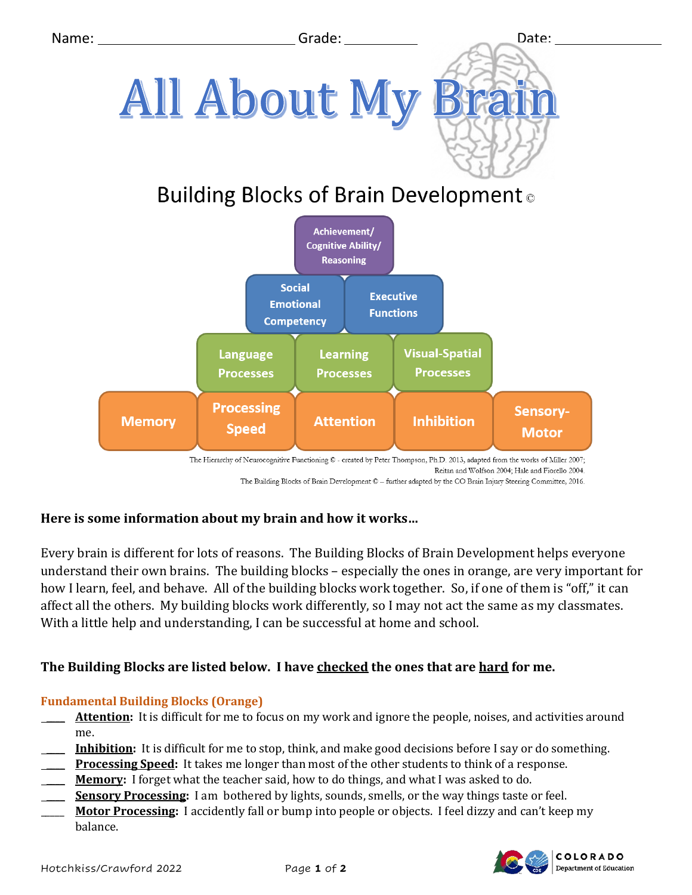

The Hierarchy of Neurocognitive Functioning @ - created by Peter Thompson, Ph.D. 2013, adapted from the works of Miller 2007; Reitan and Wolfson 2004; Hale and Fiorello 2004.

#### The Building Blocks of Brain Development © - further adapted by the CO Brain Injury Steering Committee, 2016.

# **Here is some information about my brain and how it works…**

Every brain is different for lots of reasons. The Building Blocks of Brain Development helps everyone understand their own brains. The building blocks – especially the ones in orange, are very important for how I learn, feel, and behave. All of the building blocks work together. So, if one of them is "off," it can affect all the others. My building blocks work differently, so I may not act the same as my classmates. With a little help and understanding, I can be successful at home and school.

# **The Building Blocks are listed below. I have checked the ones that are hard for me.**

# **Fundamental Building Blocks (Orange)**

- Attention: It is difficult for me to focus on my work and ignore the people, noises, and activities around me.
- \_\_\_\_ **Inhibition:** It is difficult for me to stop, think, and make good decisions before I say or do something.
- \_\_\_\_ **Processing Speed:** It takes me longer than most of the other students to think of a response.
- Memory: I forget what the teacher said, how to do things, and what I was asked to do.
- \_\_\_\_ **Sensory Processing:** I am bothered by lights, sounds, smells, or the way things taste or feel.
- \_\_\_\_\_ **Motor Processing:** I accidently fall or bump into people or objects. I feel dizzy and can't keep my balance.